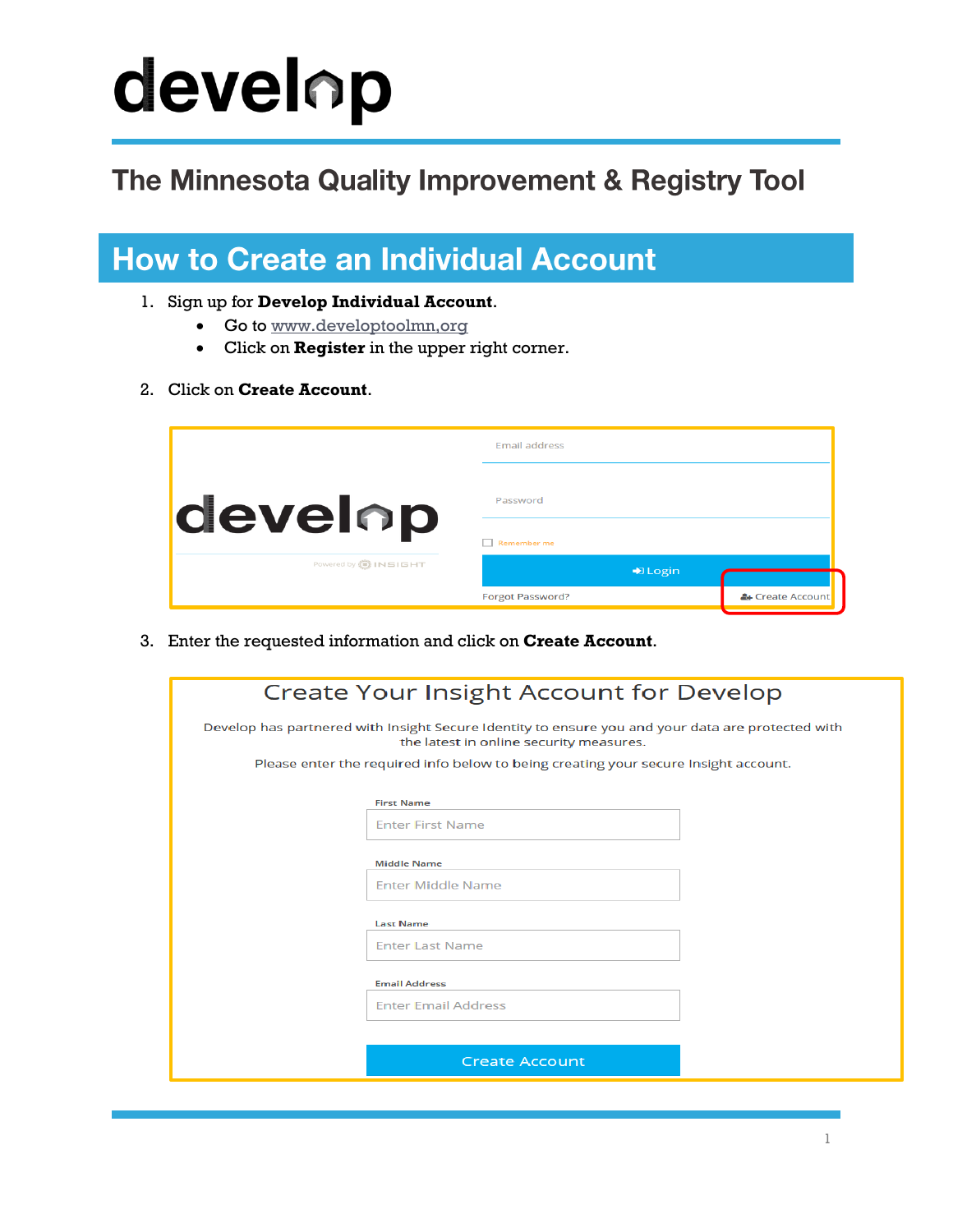# develop

#### The Minnesota Quality Improvement & Registry Tool

#### **How to Create an Individual Account**

- 1. Sign up for **Develop Individual Account**.
	- Go to www.developtoolmn.org
	- Click on **Register** in the upper right corner.
- 2. Click on **Create Account**.

|                               | <b>Email address</b>     |                  |
|-------------------------------|--------------------------|------------------|
| develop                       | Password                 |                  |
|                               | Remember me              |                  |
| Powered by <b>(a) INSIGHT</b> | $\bigtriangledown$ Login |                  |
|                               | <b>Forgot Password?</b>  | & Create Account |

3. Enter the requested information and click on **Create Account**.

| <b>Create Your Insight Account for Develop</b>                                                                                               |                            |  |  |
|----------------------------------------------------------------------------------------------------------------------------------------------|----------------------------|--|--|
| Develop has partnered with Insight Secure Identity to ensure you and your data are protected with<br>the latest in online security measures. |                            |  |  |
| Please enter the required info below to being creating your secure Insight account.                                                          |                            |  |  |
|                                                                                                                                              | <b>First Name</b>          |  |  |
|                                                                                                                                              | <b>Enter First Name</b>    |  |  |
|                                                                                                                                              | <b>Middle Name</b>         |  |  |
|                                                                                                                                              | Enter Middle Name          |  |  |
|                                                                                                                                              | <b>Last Name</b>           |  |  |
|                                                                                                                                              | <b>Enter Last Name</b>     |  |  |
|                                                                                                                                              | <b>Email Address</b>       |  |  |
|                                                                                                                                              | <b>Enter Email Address</b> |  |  |
|                                                                                                                                              |                            |  |  |
|                                                                                                                                              | <b>Create Account</b>      |  |  |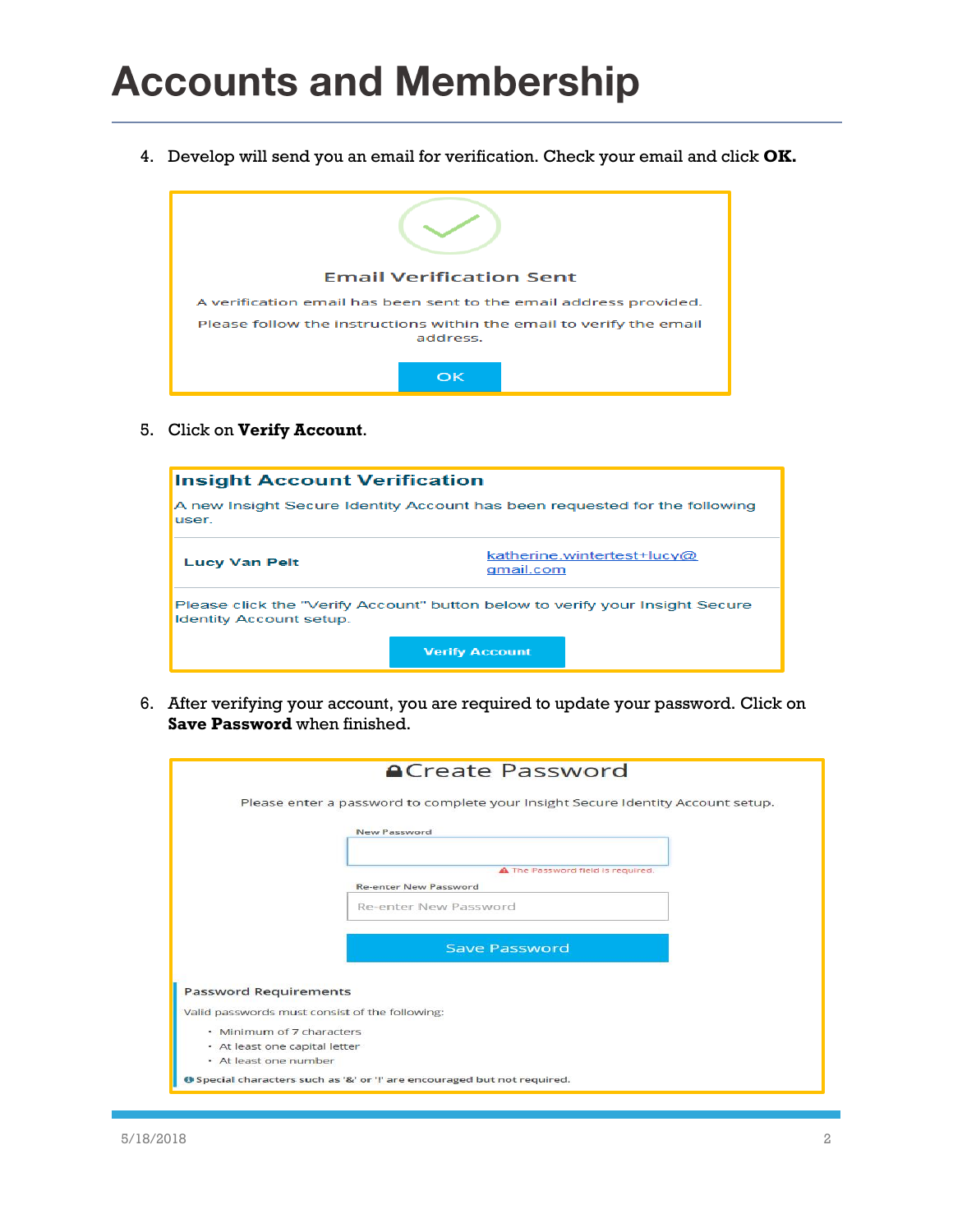4. Develop will send you an email for verification. Check your email and click **OK.**



5. Click on **Verify Account**.



6. After verifying your account, you are required to update your password. Click on **Save Password** when finished.

|                               | Please enter a password to complete your Insight Secure Identity Account setup. |  |
|-------------------------------|---------------------------------------------------------------------------------|--|
|                               | New Password                                                                    |  |
|                               |                                                                                 |  |
|                               |                                                                                 |  |
|                               | A The Password field is required.                                               |  |
|                               | <b>Re-enter New Password</b>                                                    |  |
|                               | Re-enter New Password                                                           |  |
|                               |                                                                                 |  |
|                               |                                                                                 |  |
|                               | <b>Save Password</b>                                                            |  |
|                               |                                                                                 |  |
| <b>Password Requirements</b>  |                                                                                 |  |
|                               |                                                                                 |  |
|                               | Valid passwords must consist of the following:                                  |  |
| · Minimum of 7 characters     |                                                                                 |  |
| • At least one capital letter |                                                                                 |  |
| · At least one number         |                                                                                 |  |
|                               |                                                                                 |  |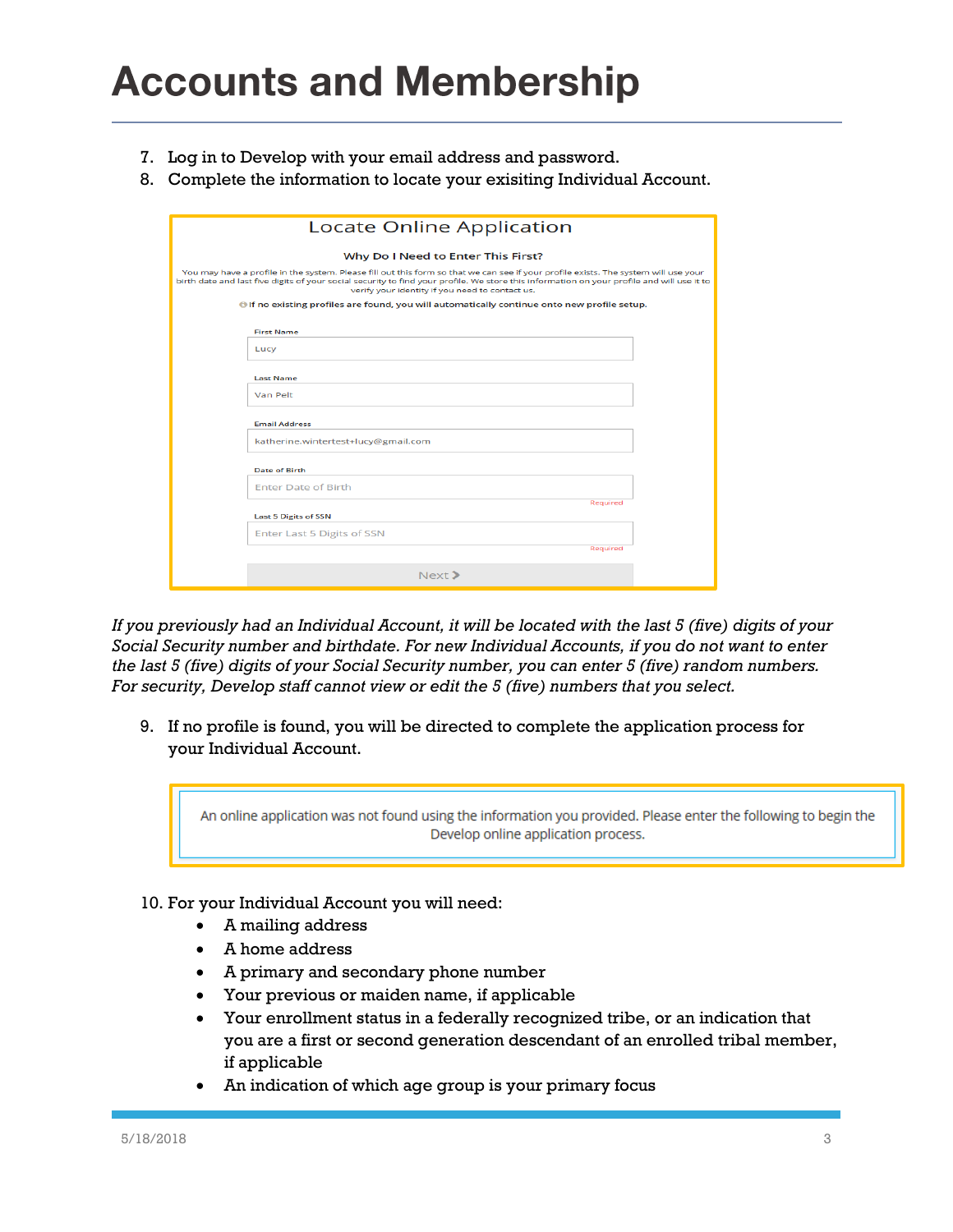- 7. Log in to Develop with your email address and password.
- 8. Complete the information to locate your exisiting Individual Account.

|                                                                                                                                                                                                                                                                                                                                      | <b>Locate Online Application</b>                                                                    |  |  |  |  |  |
|--------------------------------------------------------------------------------------------------------------------------------------------------------------------------------------------------------------------------------------------------------------------------------------------------------------------------------------|-----------------------------------------------------------------------------------------------------|--|--|--|--|--|
|                                                                                                                                                                                                                                                                                                                                      |                                                                                                     |  |  |  |  |  |
|                                                                                                                                                                                                                                                                                                                                      | Why Do I Need to Enter This First?                                                                  |  |  |  |  |  |
| You may have a profile in the system. Please fill out this form so that we can see if your profile exists. The system will use your<br>birth date and last five digits of your social security to find your profile. We store this information on your profile and will use it to<br>verify your identity if you need to contact us. |                                                                                                     |  |  |  |  |  |
|                                                                                                                                                                                                                                                                                                                                      | <b>O</b> If no existing profiles are found, you will automatically continue onto new profile setup. |  |  |  |  |  |
|                                                                                                                                                                                                                                                                                                                                      | <b>First Name</b>                                                                                   |  |  |  |  |  |
|                                                                                                                                                                                                                                                                                                                                      | Lucy                                                                                                |  |  |  |  |  |
|                                                                                                                                                                                                                                                                                                                                      | <b>Last Name</b>                                                                                    |  |  |  |  |  |
|                                                                                                                                                                                                                                                                                                                                      | Van Pelt                                                                                            |  |  |  |  |  |
|                                                                                                                                                                                                                                                                                                                                      | <b>Email Address</b>                                                                                |  |  |  |  |  |
|                                                                                                                                                                                                                                                                                                                                      | katherine.wintertest+lucy@gmail.com                                                                 |  |  |  |  |  |
|                                                                                                                                                                                                                                                                                                                                      | Date of Birth                                                                                       |  |  |  |  |  |
|                                                                                                                                                                                                                                                                                                                                      | <b>Enter Date of Birth</b>                                                                          |  |  |  |  |  |
|                                                                                                                                                                                                                                                                                                                                      | Required                                                                                            |  |  |  |  |  |
|                                                                                                                                                                                                                                                                                                                                      | <b>Last 5 Digits of SSN</b>                                                                         |  |  |  |  |  |
|                                                                                                                                                                                                                                                                                                                                      | Enter Last 5 Digits of SSN                                                                          |  |  |  |  |  |
|                                                                                                                                                                                                                                                                                                                                      | Required                                                                                            |  |  |  |  |  |
|                                                                                                                                                                                                                                                                                                                                      | Next                                                                                                |  |  |  |  |  |

*If you previously had an Individual Account, it will be located with the last 5 (five) digits of your Social Security number and birthdate. For new Individual Accounts, if you do not want to enter the last 5 (five) digits of your Social Security number, you can enter 5 (five) random numbers. For security, Develop staff cannot view or edit the 5 (five) numbers that you select.*

9. If no profile is found, you will be directed to complete the application process for your Individual Account.

An online application was not found using the information you provided. Please enter the following to begin the Develop online application process.

- 10. For your Individual Account you will need:
	- A mailing address
	- A home address
	- A primary and secondary phone number
	- Your previous or maiden name, if applicable
	- Your enrollment status in a federally recognized tribe, or an indication that you are a first or second generation descendant of an enrolled tribal member, if applicable
	- An indication of which age group is your primary focus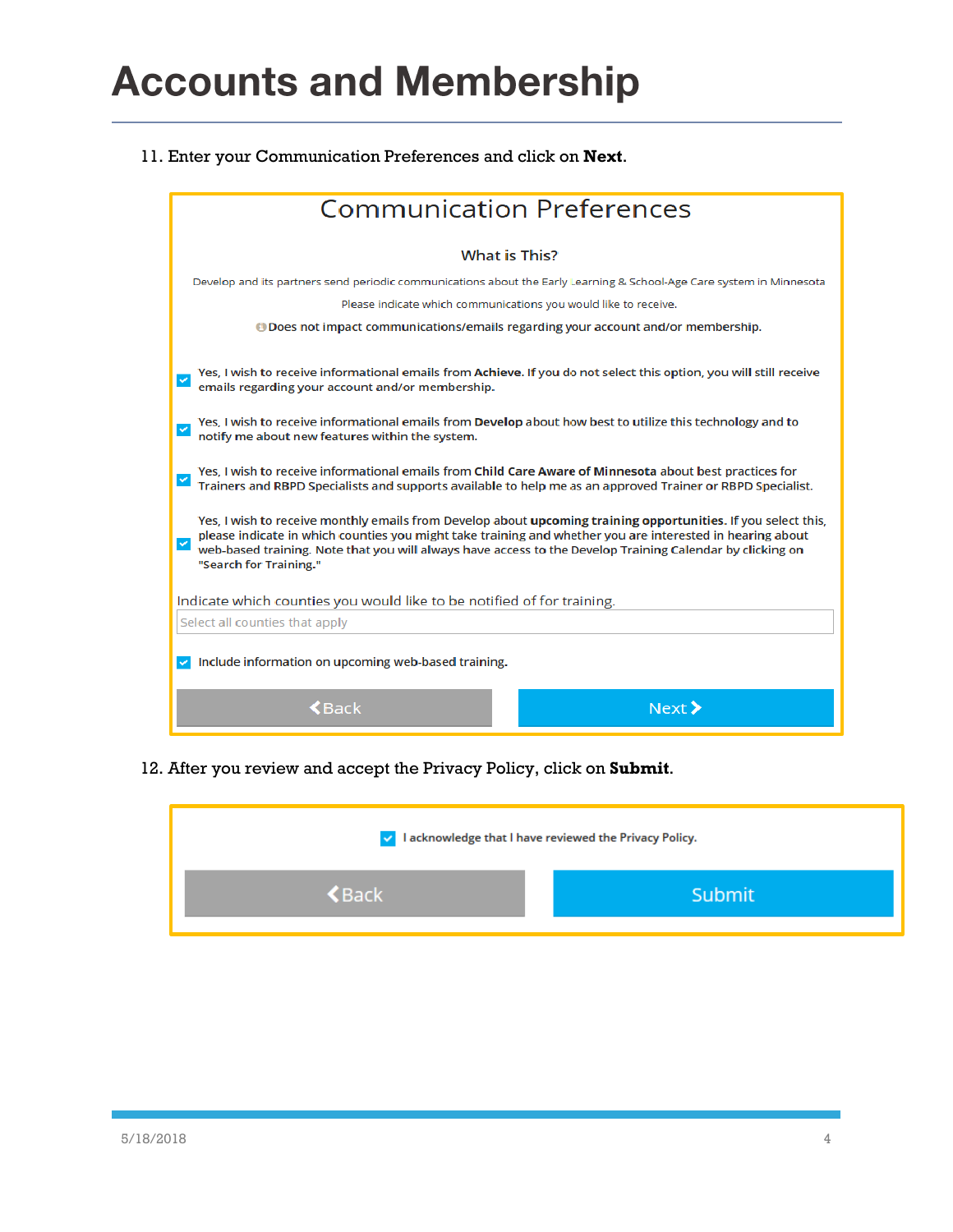11. Enter your Communication Preferences and click on **Next**.

| <b>Communication Preferences</b>                                                                                                                                                                                                                                                                                                                                  |  |  |
|-------------------------------------------------------------------------------------------------------------------------------------------------------------------------------------------------------------------------------------------------------------------------------------------------------------------------------------------------------------------|--|--|
| <b>What is This?</b>                                                                                                                                                                                                                                                                                                                                              |  |  |
| Develop and its partners send periodic communications about the Early Learning & School-Age Care system in Minnesota                                                                                                                                                                                                                                              |  |  |
| Please indicate which communications you would like to receive.                                                                                                                                                                                                                                                                                                   |  |  |
|                                                                                                                                                                                                                                                                                                                                                                   |  |  |
| Yes, I wish to receive informational emails from Achieve. If you do not select this option, you will still receive<br>emails regarding your account and/or membership.                                                                                                                                                                                            |  |  |
| Yes, I wish to receive informational emails from Develop about how best to utilize this technology and to<br>$\checkmark$<br>notify me about new features within the system.                                                                                                                                                                                      |  |  |
| Yes, I wish to receive informational emails from Child Care Aware of Minnesota about best practices for<br>Trainers and RBPD Specialists and supports available to help me as an approved Trainer or RBPD Specialist.                                                                                                                                             |  |  |
| Yes, I wish to receive monthly emails from Develop about upcoming training opportunities. If you select this,<br>please indicate in which counties you might take training and whether you are interested in hearing about<br>web-based training. Note that you will always have access to the Develop Training Calendar by clicking on<br>"Search for Training." |  |  |
| Indicate which counties you would like to be notified of for training.                                                                                                                                                                                                                                                                                            |  |  |
| Select all counties that apply                                                                                                                                                                                                                                                                                                                                    |  |  |
| Include information on upcoming web-based training.<br>$\sim$                                                                                                                                                                                                                                                                                                     |  |  |
| Next ><br>$\blacktriangle$ Back                                                                                                                                                                                                                                                                                                                                   |  |  |

12. After you review and accept the Privacy Policy, click on **Submit**.

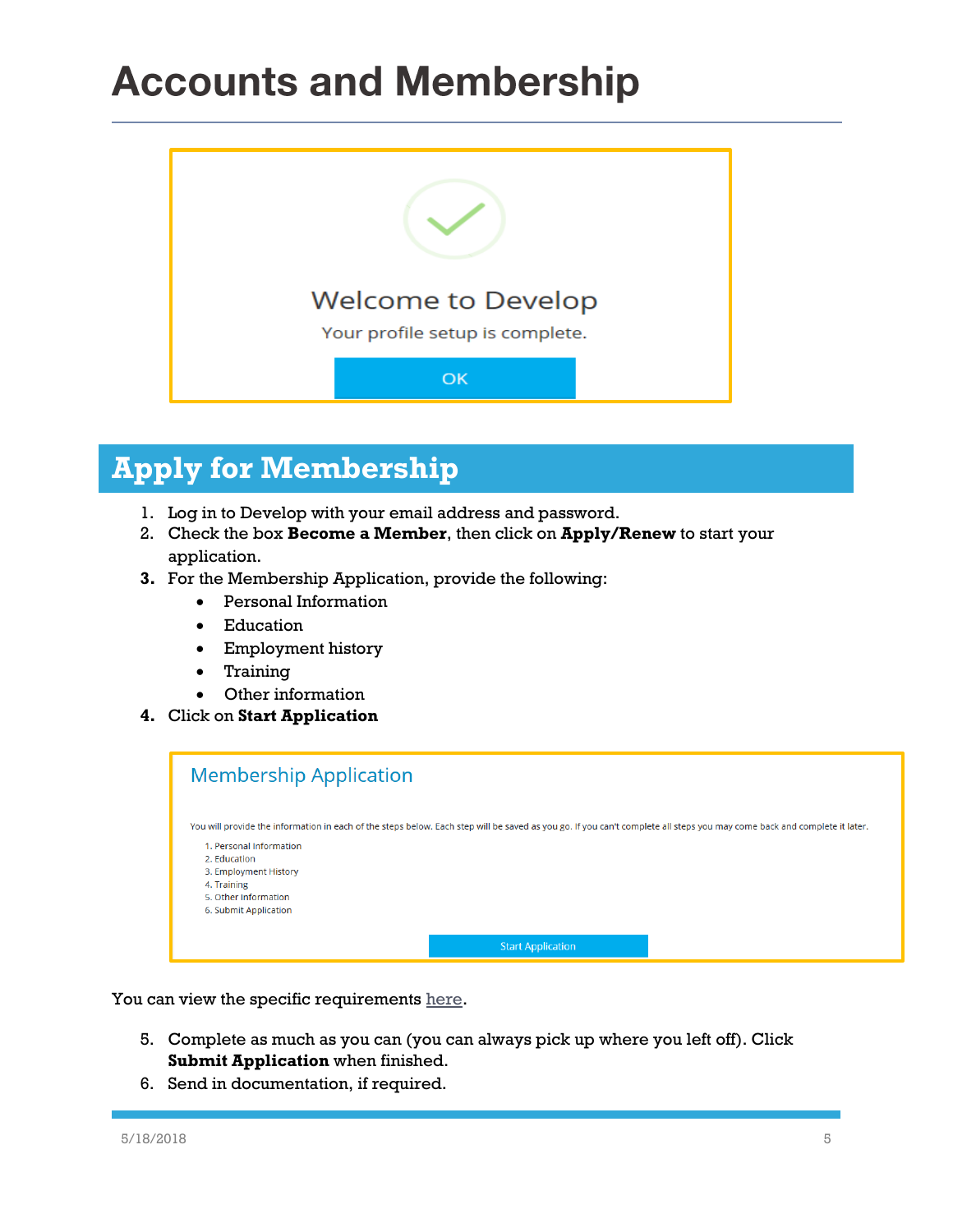

#### **Apply for Membership**

- 1. Log in to Develop with your email address and password.
- 2. Check the box **Become a Member**, then click on **Apply/Renew** to start your application.
- **3.** For the Membership Application, provide the following:
	- Personal Information
	- Education
	- Employment history
	- Training
	- Other information
- **4.** Click on **Start Application**

| <b>Membership Application</b>                                                                                                                                            |
|--------------------------------------------------------------------------------------------------------------------------------------------------------------------------|
|                                                                                                                                                                          |
| You will provide the information in each of the steps below. Each step will be saved as you go. If you can't complete all steps you may come back and complete it later. |
| 1. Personal Information                                                                                                                                                  |
| 2. Education                                                                                                                                                             |
| 3. Employment History                                                                                                                                                    |
| 4. Training                                                                                                                                                              |
| 5. Other Information                                                                                                                                                     |
| 6. Submit Application                                                                                                                                                    |
|                                                                                                                                                                          |
| <b>Start Application</b>                                                                                                                                                 |

You can view the specific requirements [here.](https://www.mncpd.org/wp-content/uploads/2018/02/Acceptable_Documentation_Policy.pdf)

- 5. Complete as much as you can (you can always pick up where you left off). Click **Submit Application** when finished.
- 6. Send in documentation, if required.